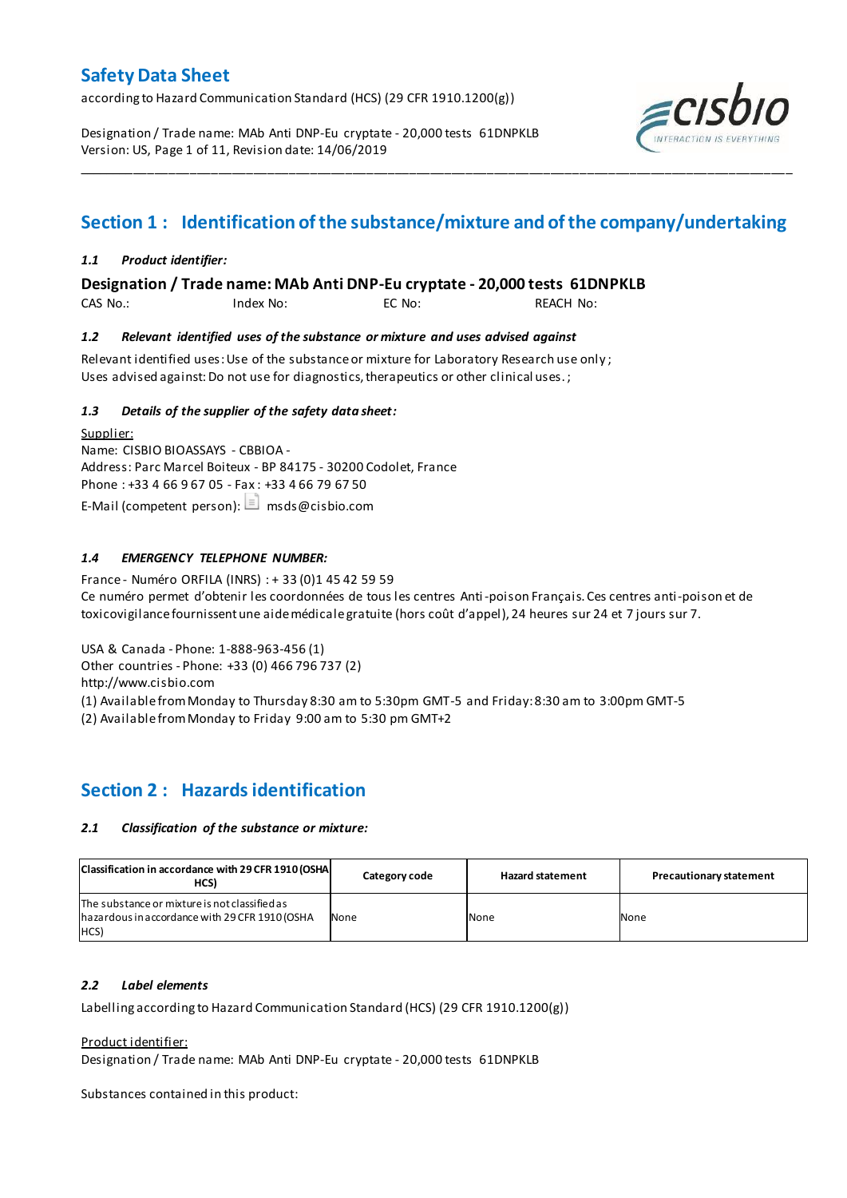according to Hazard Communication Standard (HCS) (29 CFR 1910.1200(g))

Designation / Trade name: MAb Anti DNP-Eu cryptate - 20,000 tests 61DNPKLB Version: US, Page 1 of 11, Revision date: 14/06/2019



# **Section 1 : Identification of the substance/mixture and of the company/undertaking**

\_\_\_\_\_\_\_\_\_\_\_\_\_\_\_\_\_\_\_\_\_\_\_\_\_\_\_\_\_\_\_\_\_\_\_\_\_\_\_\_\_\_\_\_\_\_\_\_\_\_\_\_\_\_\_\_\_\_\_\_\_\_\_\_\_\_\_\_\_\_\_\_\_\_\_\_\_\_\_\_\_\_\_\_\_\_\_\_\_\_\_\_\_\_\_\_\_\_\_\_\_

## *1.1 Product identifier:*

**Designation / Trade name: MAb Anti DNP-Eu cryptate - 20,000 tests 61DNPKLB** 

CAS No.: Index No: EC No: REACH No:

## *1.2 Relevant identified uses of the substance or mixture and uses advised against*

Relevant identified uses: Use of the substance or mixture for Laboratory Research use only ; Uses advised against: Do not use for diagnostics, therapeutics or other clinical uses.;

## *1.3 Details of the supplier of the safety data sheet:*

Supplier: Name: CISBIO BIOASSAYS - CBBIOA - Address: Parc Marcel Boiteux - BP 84175 - 30200 Codolet, France Phone : +33 4 66 9 67 05 - Fax : +33 4 66 79 67 50 E-Mail (competent person):  $\Box$  msds@cisbio.com

## *1.4 EMERGENCY TELEPHONE NUMBER:*

France - Numéro ORFILA (INRS) : + 33 (0)1 45 42 59 59 Ce numéro permet d'obtenir les coordonnées de tous les centres Anti-poison Français. Ces centres anti-poison et de toxicovigilance fournissent une aide médicale gratuite (hors coût d'appel), 24 heures sur 24 et 7 jours sur 7.

USA & Canada - Phone: 1-888-963-456 (1)

Other countries - Phone: +33 (0) 466 796 737 (2)

http://www.cisbio.com

(1) Available from Monday to Thursday 8:30 am to 5:30pm GMT-5 and Friday: 8:30 am to 3:00pm GMT-5

(2) Available from Monday to Friday 9:00 am to 5:30 pm GMT+2

# **Section 2 : Hazards identification**

## *2.1 Classification of the substance or mixture:*

| Classification in accordance with 29 CFR 1910 (OSHA)<br>HCS)                                            | Category code | <b>Hazard statement</b> | <b>Precautionary statement</b> |
|---------------------------------------------------------------------------------------------------------|---------------|-------------------------|--------------------------------|
| The substance or mixture is not classified as<br>hazardous in accordance with 29 CFR 1910 (OSHA<br>HCS) | None          | None                    | None                           |

## *2.2 Label elements*

Labelling according to Hazard Communication Standard (HCS) (29 CFR 1910.1200(g))

Product identifier:

Designation / Trade name: MAb Anti DNP-Eu cryptate - 20,000 tests 61DNPKLB

Substances contained in this product: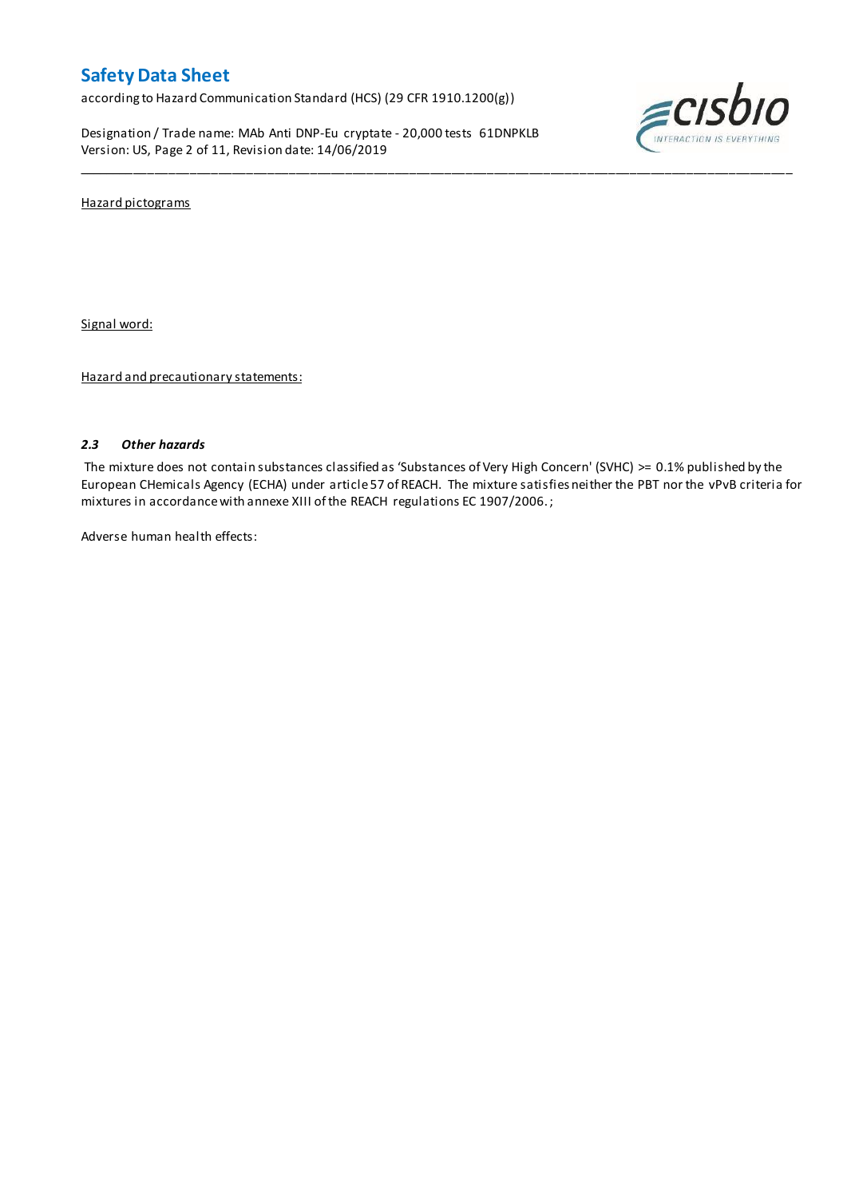according to Hazard Communication Standard (HCS) (29 CFR 1910.1200(g))

Designation / Trade name: MAb Anti DNP-Eu cryptate - 20,000 tests 61DNPKLB Version: US, Page 2 of 11, Revision date: 14/06/2019



Hazard pictograms

Signal word:

Hazard and precautionary statements:

## *2.3 Other hazards*

The mixture does not contain substances classified as 'Substances of Very High Concern' (SVHC) >= 0.1% published by the European CHemicals Agency (ECHA) under article 57 of REACH. The mixture satisfies neither the PBT nor the vPvB criteria for mixtures in accordance with annexe XIII of the REACH regulations EC 1907/2006. ;

\_\_\_\_\_\_\_\_\_\_\_\_\_\_\_\_\_\_\_\_\_\_\_\_\_\_\_\_\_\_\_\_\_\_\_\_\_\_\_\_\_\_\_\_\_\_\_\_\_\_\_\_\_\_\_\_\_\_\_\_\_\_\_\_\_\_\_\_\_\_\_\_\_\_\_\_\_\_\_\_\_\_\_\_\_\_\_\_\_\_\_\_\_\_\_\_\_\_\_\_\_

Adverse human health effects: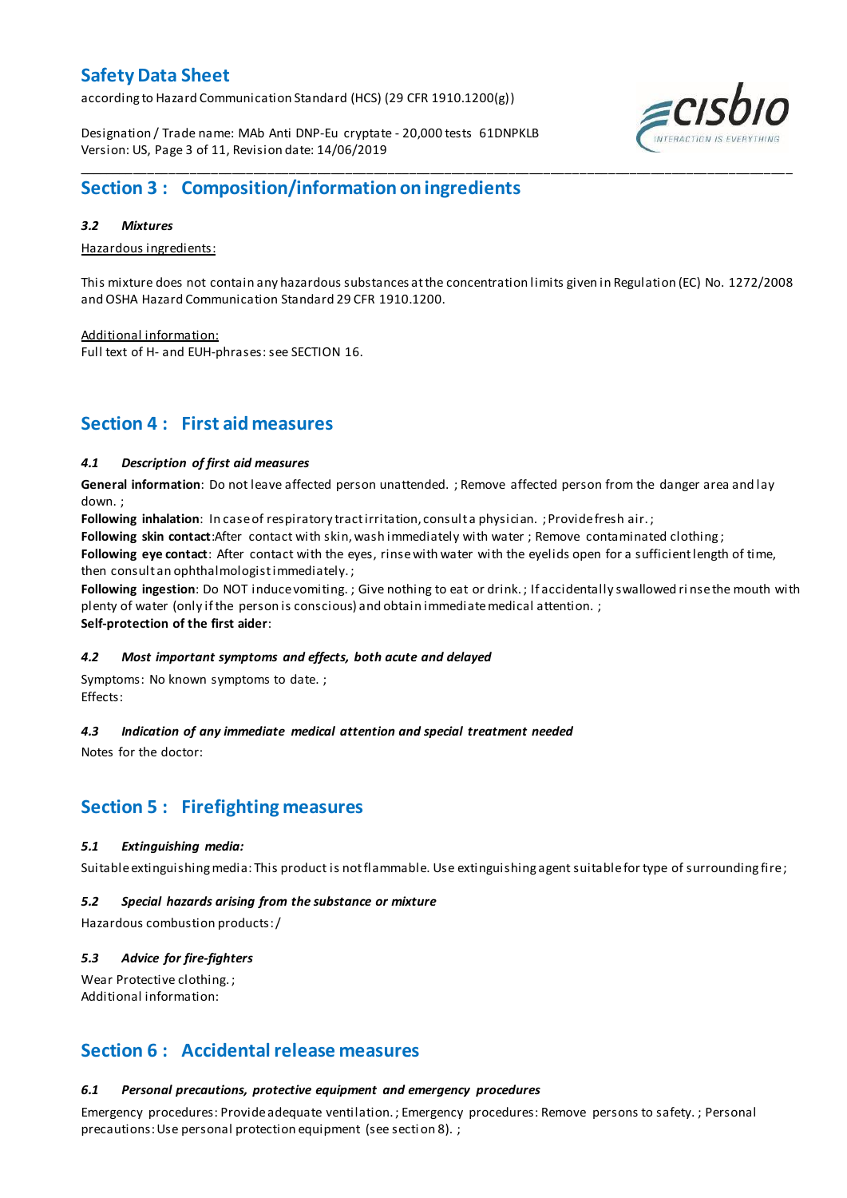according to Hazard Communication Standard (HCS) (29 CFR 1910.1200(g))

Designation / Trade name: MAb Anti DNP-Eu cryptate - 20,000 tests 61DNPKLB Version: US, Page 3 of 11, Revision date: 14/06/2019



## *3.2 Mixtures*

Hazardous ingredients:

This mixture does not contain any hazardous substances at the concentration limits given in Regulation (EC) No. 1272/2008 and OSHA Hazard Communication Standard 29 CFR 1910.1200.

Additional information: Full text of H- and EUH-phrases: see SECTION 16.

# **Section 4 : First aid measures**

## *4.1 Description of first aid measures*

**General information**: Do not leave affected person unattended. ; Remove affected person from the danger area and lay down. ;

**Following inhalation**: In case of respiratory tract irritation, consult a physician. ; Provide fresh air. ;

**Following skin contact**:After contact with skin, wash immediately with water ; Remove contaminated clothing ;

**Following eye contact**: After contact with the eyes, rinse with water with the eyelids open for a sufficient length of time, then consult an ophthalmologist immediately. ;

**Following ingestion**: Do NOT induce vomiting. ; Give nothing to eat or drink. ; If accidentally swallowed ri nse the mouth with plenty of water (only if the person is conscious) and obtain immediate medical attention. ; **Self-protection of the first aider**:

## *4.2 Most important symptoms and effects, both acute and delayed*

Symptoms: No known symptoms to date. ; Effects:

# *4.3 Indication of any immediate medical attention and special treatment needed*

Notes for the doctor:

# **Section 5 : Firefighting measures**

# *5.1 Extinguishing media:*

Suitable extinguishing media: This product is not flammable. Use extinguishing agent suitable for type of surrounding fire ;

## *5.2 Special hazards arising from the substance or mixture*

Hazardous combustion products:/

# *5.3 Advice for fire-fighters*

Wear Protective clothing.; Additional information:

# **Section 6 : Accidental release measures**

# *6.1 Personal precautions, protective equipment and emergency procedures*

Emergency procedures: Provide adequate ventilation. ; Emergency procedures: Remove persons to safety. ; Personal precautions: Use personal protection equipment (see secti on 8). ;

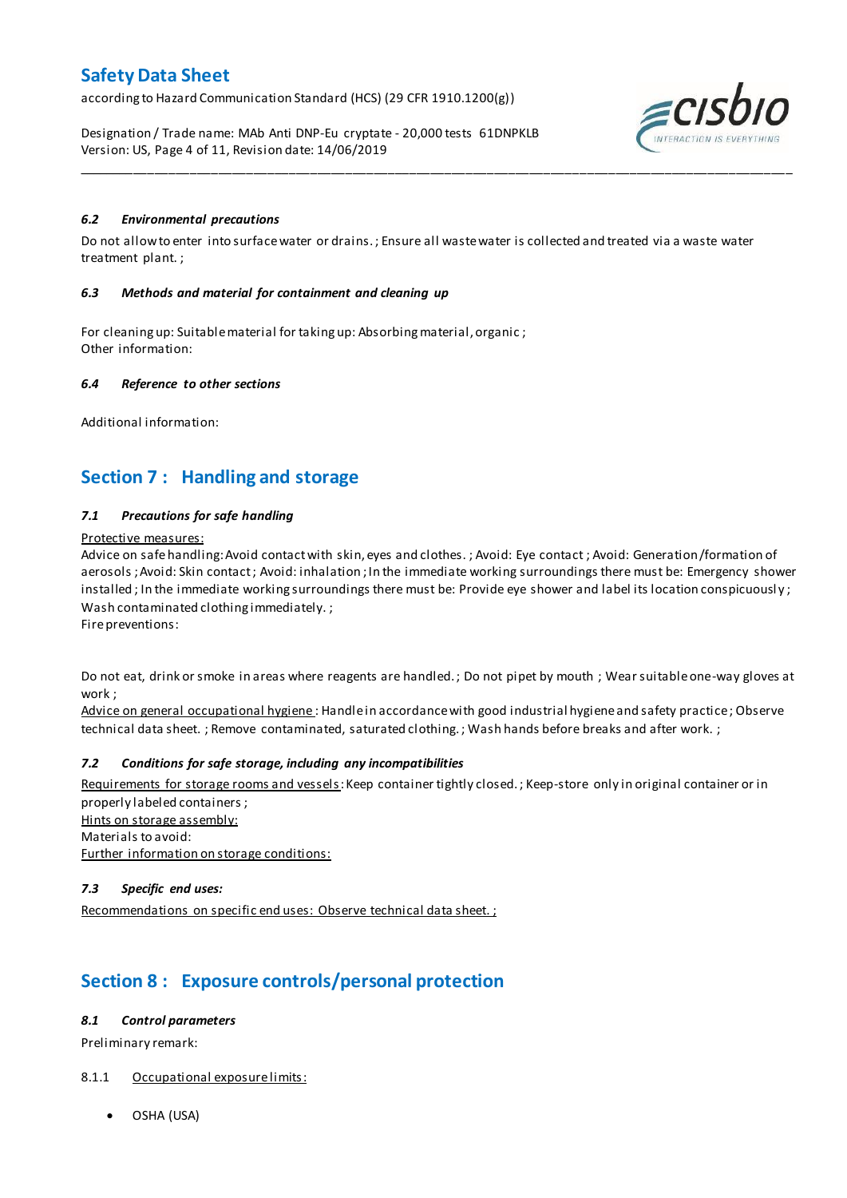according to Hazard Communication Standard (HCS) (29 CFR 1910.1200(g))

Designation / Trade name: MAb Anti DNP-Eu cryptate - 20,000 tests 61DNPKLB Version: US, Page 4 of 11, Revision date: 14/06/2019



## *6.2 Environmental precautions*

Do not allow to enter into surface water or drains. ; Ensure all waste water is collected and treated via a waste water treatment plant. ;

\_\_\_\_\_\_\_\_\_\_\_\_\_\_\_\_\_\_\_\_\_\_\_\_\_\_\_\_\_\_\_\_\_\_\_\_\_\_\_\_\_\_\_\_\_\_\_\_\_\_\_\_\_\_\_\_\_\_\_\_\_\_\_\_\_\_\_\_\_\_\_\_\_\_\_\_\_\_\_\_\_\_\_\_\_\_\_\_\_\_\_\_\_\_\_\_\_\_\_\_\_

### *6.3 Methods and material for containment and cleaning up*

For cleaning up: Suitable material for taking up: Absorbing material, organic ; Other information:

### *6.4 Reference to other sections*

Additional information:

# **Section 7 : Handling and storage**

## *7.1 Precautions for safe handling*

#### Protective measures:

Advice on safe handling:Avoid contact with skin, eyes and clothes. ; Avoid: Eye contact ; Avoid: Generation/formation of aerosols ; Avoid: Skin contact ; Avoid: inhalation ; In the immediate working surroundings there must be: Emergency shower installed; In the immediate working surroundings there must be: Provide eye shower and label its location conspicuously; Wash contaminated clothing immediately. ;

Fire preventions:

Do not eat, drink or smoke in areas where reagents are handled. ; Do not pipet by mouth ; Wear suitable one-way gloves at work ;

Advice on general occupational hygiene: Handle in accordance with good industrial hygiene and safety practice; Observe technical data sheet. ; Remove contaminated, saturated clothing. ; Wash hands before breaks and after work. ;

## *7.2 Conditions for safe storage, including any incompatibilities*

Requirements for storage rooms and vessels: Keep container tightly closed.; Keep-store only in original container or in properly labeled containers ; Hints on storage assembly: Materials to avoid:

Further information on storage conditions:

## *7.3 Specific end uses:*

Recommendations on specific end uses: Observe technical data sheet. ;

# **Section 8 : Exposure controls/personal protection**

## *8.1 Control parameters*

Preliminary remark:

## 8.1.1 Occupational exposure limits:

OSHA (USA)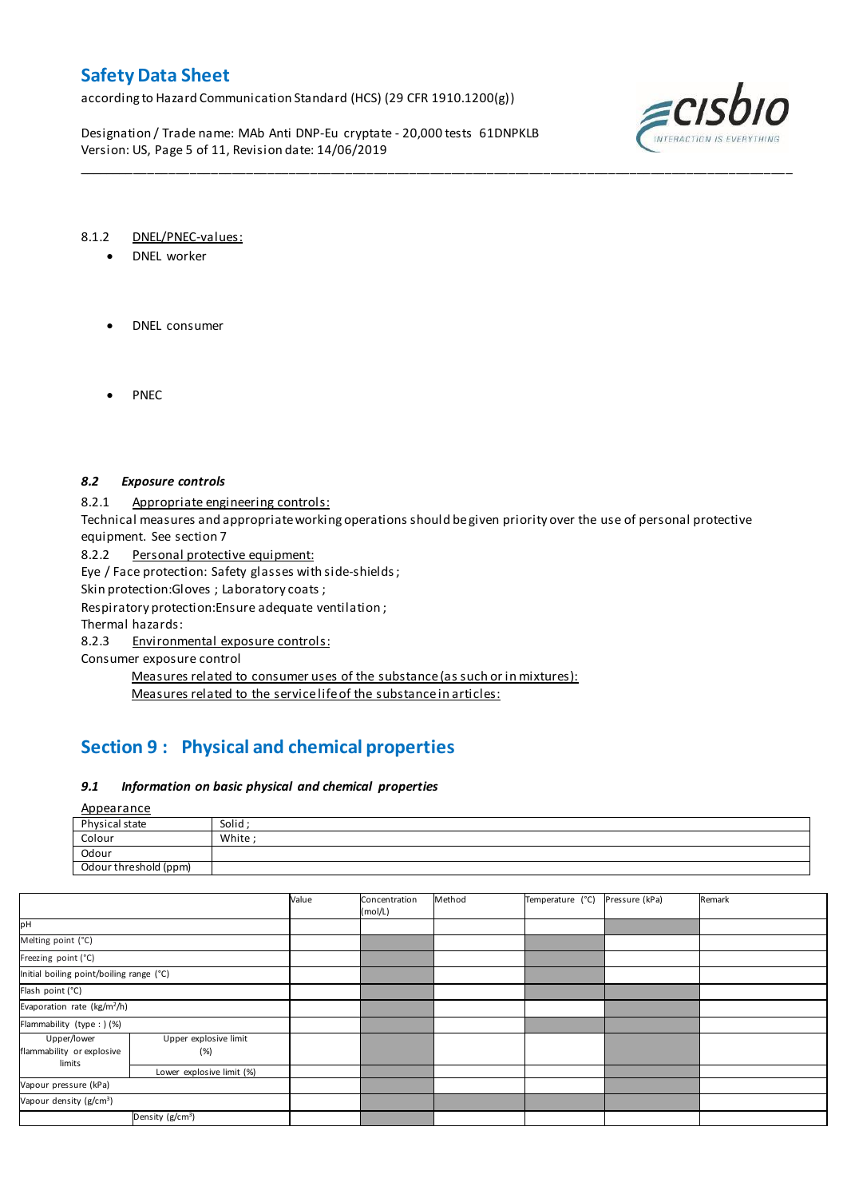according to Hazard Communication Standard (HCS) (29 CFR 1910.1200(g))

Designation / Trade name: MAb Anti DNP-Eu cryptate - 20,000 tests 61DNPKLB Version: US, Page 5 of 11, Revision date: 14/06/2019



### 8.1.2 DNEL/PNEC-values:

- DNEL worker
- DNEL consumer
- PNEC

## *8.2 Exposure controls*

8.2.1 Appropriate engineering controls:

Technical measures and appropriate working operations should be given priority over the use of personal protective equipment. See section 7

\_\_\_\_\_\_\_\_\_\_\_\_\_\_\_\_\_\_\_\_\_\_\_\_\_\_\_\_\_\_\_\_\_\_\_\_\_\_\_\_\_\_\_\_\_\_\_\_\_\_\_\_\_\_\_\_\_\_\_\_\_\_\_\_\_\_\_\_\_\_\_\_\_\_\_\_\_\_\_\_\_\_\_\_\_\_\_\_\_\_\_\_\_\_\_\_\_\_\_\_\_

8.2.2 Personal protective equipment:

Eye / Face protection: Safety glasses with side-shields ;

Skin protection:Gloves ; Laboratory coats ;

Respiratory protection:Ensure adequate ventilation ;

Thermal hazards:

8.2.3 Environmental exposure controls:

Consumer exposure control

Measures related to consumer uses of the substance (as such or in mixtures): Measures related to the service life of the substance in articles:

# **Section 9 : Physical and chemical properties**

## *9.1 Information on basic physical and chemical properties*

Appearance

| Physical state        | Solid |
|-----------------------|-------|
| Colour                | White |
| Odour                 |       |
| Odour threshold (ppm) |       |

|                                                    |                              | Value | Concentration<br>(mol/L) | Method | Temperature (°C) | Pressure (kPa) | Remark |
|----------------------------------------------------|------------------------------|-------|--------------------------|--------|------------------|----------------|--------|
| pН                                                 |                              |       |                          |        |                  |                |        |
| Melting point (°C)                                 |                              |       |                          |        |                  |                |        |
| Freezing point (°C)                                |                              |       |                          |        |                  |                |        |
| Initial boiling point/boiling range (°C)           |                              |       |                          |        |                  |                |        |
| Flash point (°C)                                   |                              |       |                          |        |                  |                |        |
| Evaporation rate (kg/m <sup>2</sup> /h)            |                              |       |                          |        |                  |                |        |
| Flammability (type : ) (%)                         |                              |       |                          |        |                  |                |        |
| Upper/lower<br>flammability or explosive<br>limits | Upper explosive limit<br>(%) |       |                          |        |                  |                |        |
|                                                    | Lower explosive limit (%)    |       |                          |        |                  |                |        |
| Vapour pressure (kPa)                              |                              |       |                          |        |                  |                |        |
| Vapour density (g/cm <sup>3</sup> )                |                              |       |                          |        |                  |                |        |
| Density (g/cm <sup>3</sup> )                       |                              |       |                          |        |                  |                |        |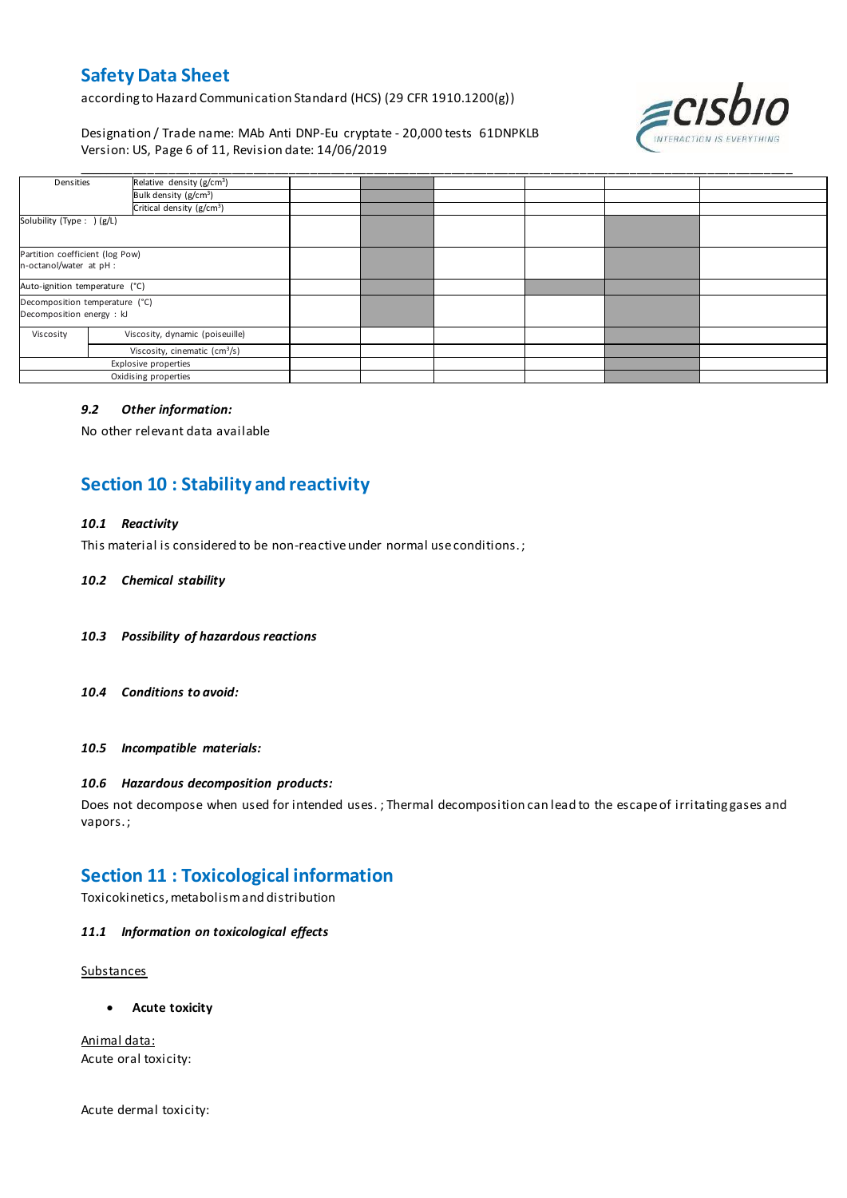according to Hazard Communication Standard (HCS) (29 CFR 1910.1200(g))

Designation / Trade name: MAb Anti DNP-Eu cryptate - 20,000 tests 61DNPKLB Version: US, Page 6 of 11, Revision date: 14/06/2019



| Densities                                                   | Relative density (g/cm <sup>3</sup> )         |  |  |  |
|-------------------------------------------------------------|-----------------------------------------------|--|--|--|
|                                                             | Bulk density (g/cm <sup>3</sup> )             |  |  |  |
|                                                             | Critical density (g/cm <sup>3</sup> )         |  |  |  |
| Solubility (Type: ) (g/L)                                   |                                               |  |  |  |
| Partition coefficient (log Pow)<br>n-octanol/water at pH :  |                                               |  |  |  |
| Auto-ignition temperature (°C)                              |                                               |  |  |  |
| Decomposition temperature (°C)<br>Decomposition energy : kJ |                                               |  |  |  |
| Viscosity                                                   | Viscosity, dynamic (poiseuille)               |  |  |  |
|                                                             | Viscosity, cinematic $\text{(cm}^3\text{/s)}$ |  |  |  |
| Explosive properties                                        |                                               |  |  |  |
| Oxidising properties                                        |                                               |  |  |  |

#### *9.2 Other information:*

No other relevant data available

# **Section 10 : Stability and reactivity**

### *10.1 Reactivity*

This material is considered to be non-reactive under normal use conditions. ;

#### *10.2 Chemical stability*

- *10.3 Possibility of hazardous reactions*
- *10.4 Conditions to avoid:*

*10.5 Incompatible materials:*

### *10.6 Hazardous decomposition products:*

Does not decompose when used for intended uses. ; Thermal decomposition can lead to the escape of irritating gases and vapors. ;

# **Section 11 : Toxicological information**

Toxicokinetics, metabolism and distribution

### *11.1 Information on toxicological effects*

**Substances** 

**Acute toxicity**

Animal data: Acute oral toxicity:

Acute dermal toxicity: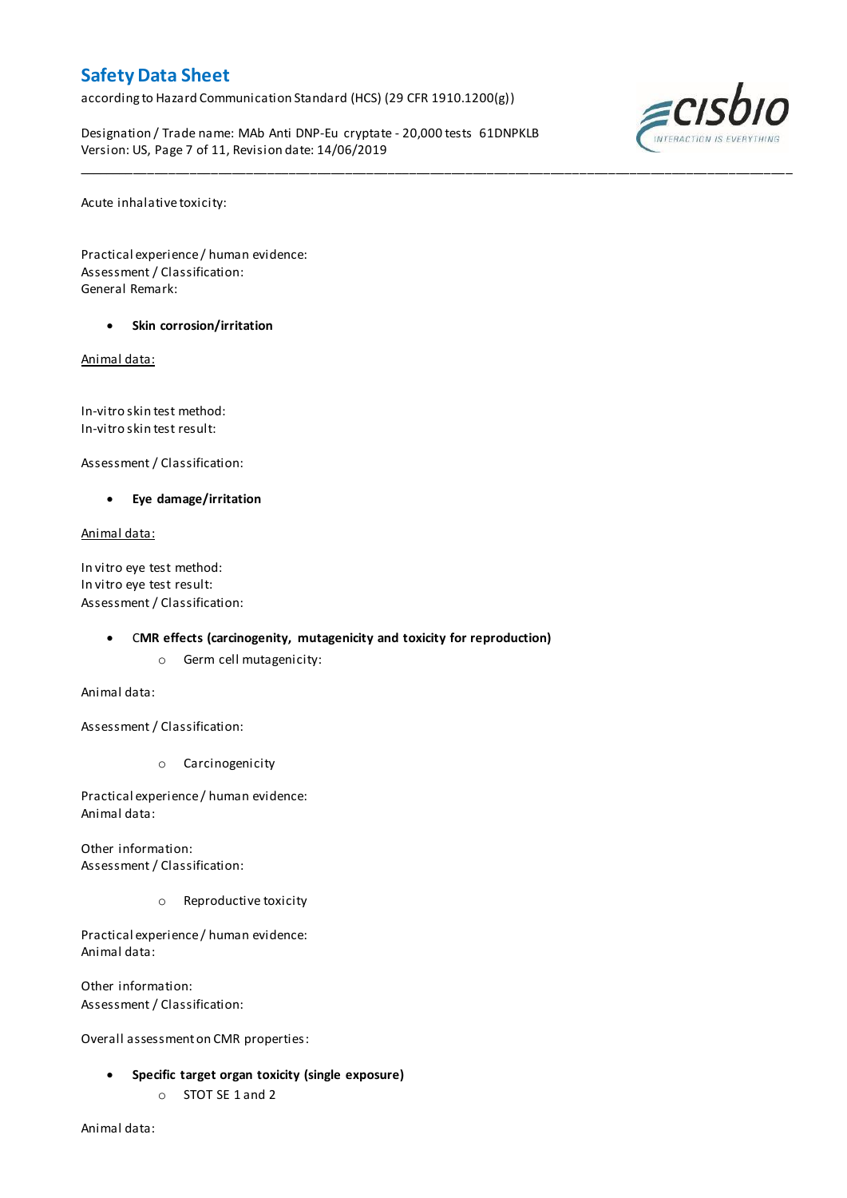according to Hazard Communication Standard (HCS) (29 CFR 1910.1200(g))

Designation / Trade name: MAb Anti DNP-Eu cryptate - 20,000 tests 61DNPKLB Version: US, Page 7 of 11, Revision date: 14/06/2019

\_\_\_\_\_\_\_\_\_\_\_\_\_\_\_\_\_\_\_\_\_\_\_\_\_\_\_\_\_\_\_\_\_\_\_\_\_\_\_\_\_\_\_\_\_\_\_\_\_\_\_\_\_\_\_\_\_\_\_\_\_\_\_\_\_\_\_\_\_\_\_\_\_\_\_\_\_\_\_\_\_\_\_\_\_\_\_\_\_\_\_\_\_\_\_\_\_\_\_\_\_



Acute inhalative toxicity:

Practical experience / human evidence: Assessment / Classification: General Remark:

**Skin corrosion/irritation**

Animal data:

In-vitro skin test method: In-vitro skin test result:

Assessment / Classification:

**Eye damage/irritation**

Animal data:

In vitro eye test method: In vitro eye test result: Assessment / Classification:

## C**MR effects (carcinogenity, mutagenicity and toxicity for reproduction)**

o Germ cell mutagenicity:

Animal data:

Assessment / Classification:

o Carcinogenicity

Practical experience / human evidence: Animal data:

Other information: Assessment / Classification:

o Reproductive toxicity

Practical experience / human evidence: Animal data:

Other information: Assessment / Classification:

Overall assessment on CMR properties:

- **Specific target organ toxicity (single exposure)**
	- o STOT SE 1 and 2

Animal data: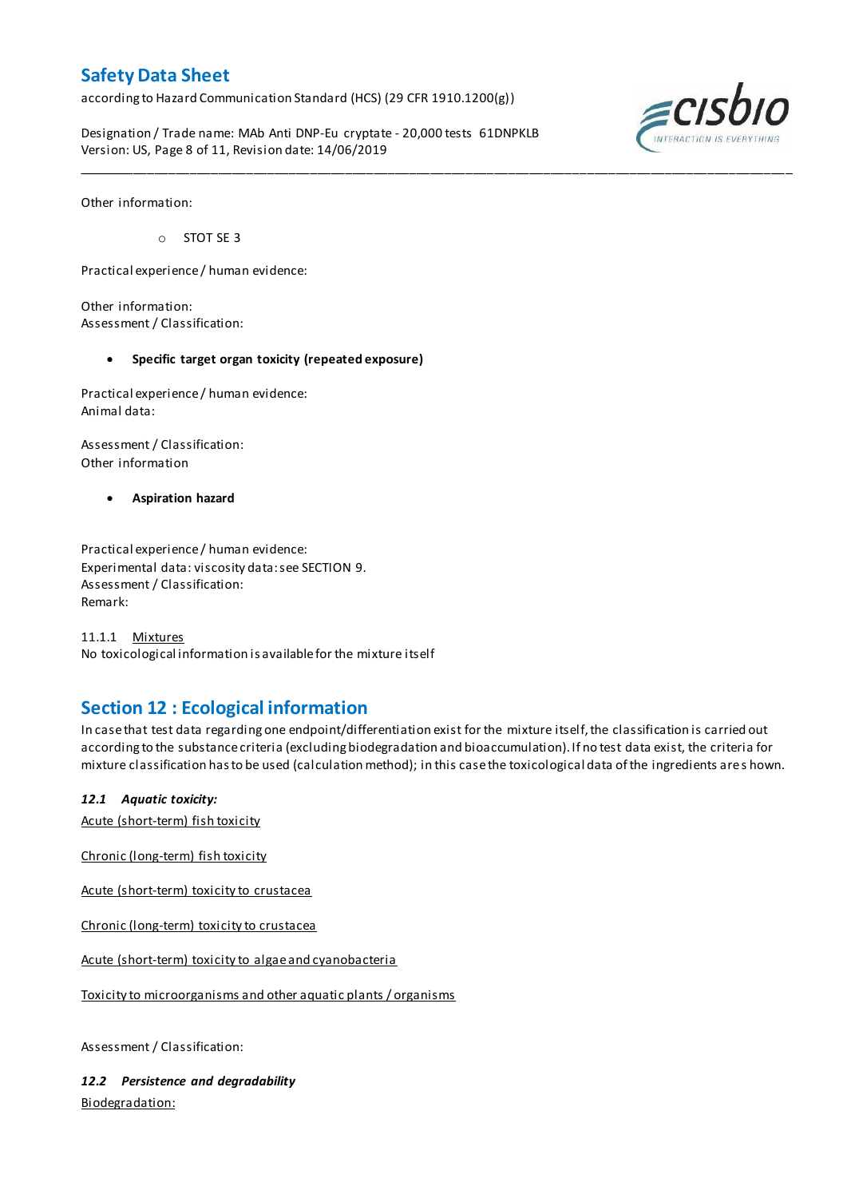according to Hazard Communication Standard (HCS) (29 CFR 1910.1200(g))

Designation / Trade name: MAb Anti DNP-Eu cryptate - 20,000 tests 61DNPKLB Version: US, Page 8 of 11, Revision date: 14/06/2019



Other information:

o STOT SE 3

Practical experience / human evidence:

Other information: Assessment / Classification:

### **Specific target organ toxicity (repeated exposure)**

Practical experience / human evidence: Animal data:

Assessment / Classification: Other information

**Aspiration hazard**

Practical experience / human evidence: Experimental data: viscosity data: see SECTION 9. Assessment / Classification: Remark:

11.1.1 Mixtures No toxicological information is available for the mixture itself

# **Section 12 : Ecological information**

In case that test data regarding one endpoint/differentiation exist for the mixture itself, the classification is carried out according to the substance criteria (excluding biodegradation and bioaccumulation). If no test data exist, the criteria for mixture classification has to be used (calculation method); in this case the toxicological data of the ingredients are s hown.

\_\_\_\_\_\_\_\_\_\_\_\_\_\_\_\_\_\_\_\_\_\_\_\_\_\_\_\_\_\_\_\_\_\_\_\_\_\_\_\_\_\_\_\_\_\_\_\_\_\_\_\_\_\_\_\_\_\_\_\_\_\_\_\_\_\_\_\_\_\_\_\_\_\_\_\_\_\_\_\_\_\_\_\_\_\_\_\_\_\_\_\_\_\_\_\_\_\_\_\_\_

## *12.1 Aquatic toxicity:*

Acute (short-term) fish toxicity

Chronic (long-term) fish toxicity

Acute (short-term) toxicity to crustacea

Chronic (long-term) toxicity to crustacea

Acute (short-term) toxicity to algae and cyanobacteria

Toxicity to microorganisms and other aquatic plants / organisms

Assessment / Classification:

*12.2 Persistence and degradability* Biodegradation: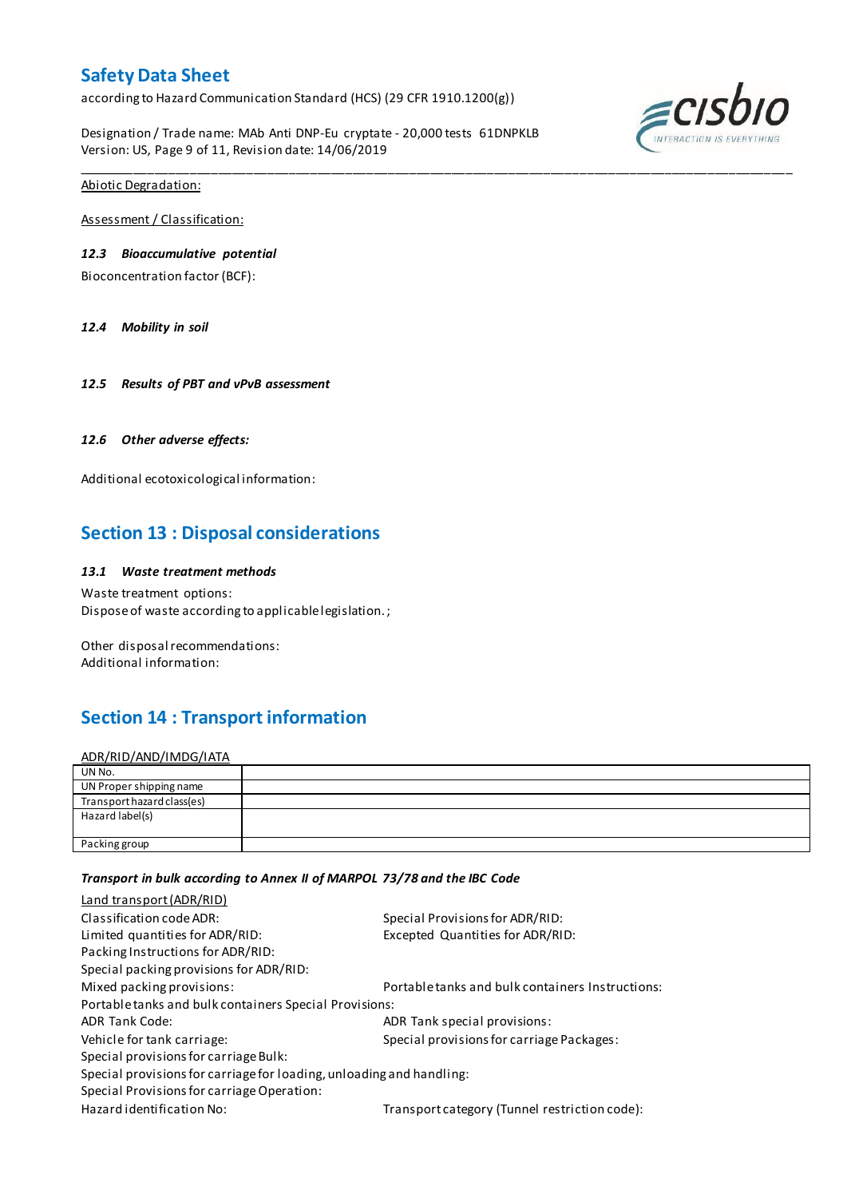according to Hazard Communication Standard (HCS) (29 CFR 1910.1200(g))

Designation / Trade name: MAb Anti DNP-Eu cryptate - 20,000 tests 61DNPKLB Version: US, Page 9 of 11, Revision date: 14/06/2019

\_\_\_\_\_\_\_\_\_\_\_\_\_\_\_\_\_\_\_\_\_\_\_\_\_\_\_\_\_\_\_\_\_\_\_\_\_\_\_\_\_\_\_\_\_\_\_\_\_\_\_\_\_\_\_\_\_\_\_\_\_\_\_\_\_\_\_\_\_\_\_\_\_\_\_\_\_\_\_\_\_\_\_\_\_\_\_\_\_\_\_\_\_\_\_\_\_\_\_\_\_



Abiotic Degradation:

Assessment / Classification:

## *12.3 Bioaccumulative potential*

Bioconcentration factor (BCF):

*12.4 Mobility in soil*

*12.5 Results of PBT and vPvB assessment*

## *12.6 Other adverse effects:*

Additional ecotoxicological information:

# **Section 13 : Disposal considerations**

### *13.1 Waste treatment methods*

Waste treatment options: Dispose of waste according to applicable legislation. ;

Other disposal recommendations: Additional information:

# **Section 14 : Transport information**

ADR/RID/AND/IMDG/IATA

| UN No.                     |  |
|----------------------------|--|
| UN Proper shipping name    |  |
| Transport hazard class(es) |  |
| Hazard label(s)            |  |
|                            |  |
| Packing group              |  |

### *Transport in bulk according to Annex II of MARPOL 73/78 and the IBC Code*

| Land transport (ADR/RID)                                             |                                                  |  |  |  |
|----------------------------------------------------------------------|--------------------------------------------------|--|--|--|
| Classification code ADR:                                             | Special Provisions for ADR/RID:                  |  |  |  |
| Limited quantities for ADR/RID:                                      | Excepted Quantities for ADR/RID:                 |  |  |  |
| Packing Instructions for ADR/RID:                                    |                                                  |  |  |  |
| Special packing provisions for ADR/RID:                              |                                                  |  |  |  |
| Mixed packing provisions:                                            | Portable tanks and bulk containers Instructions: |  |  |  |
| Portable tanks and bulk containers Special Provisions:               |                                                  |  |  |  |
| <b>ADR Tank Code:</b>                                                | ADR Tank special provisions:                     |  |  |  |
| Vehicle for tank carriage:                                           | Special provisions for carriage Packages:        |  |  |  |
| Special provisions for carriage Bulk:                                |                                                  |  |  |  |
| Special provisions for carriage for loading, unloading and handling: |                                                  |  |  |  |
| Special Provisions for carriage Operation:                           |                                                  |  |  |  |
| Hazard identification No:                                            | Transport category (Tunnel restriction code):    |  |  |  |
|                                                                      |                                                  |  |  |  |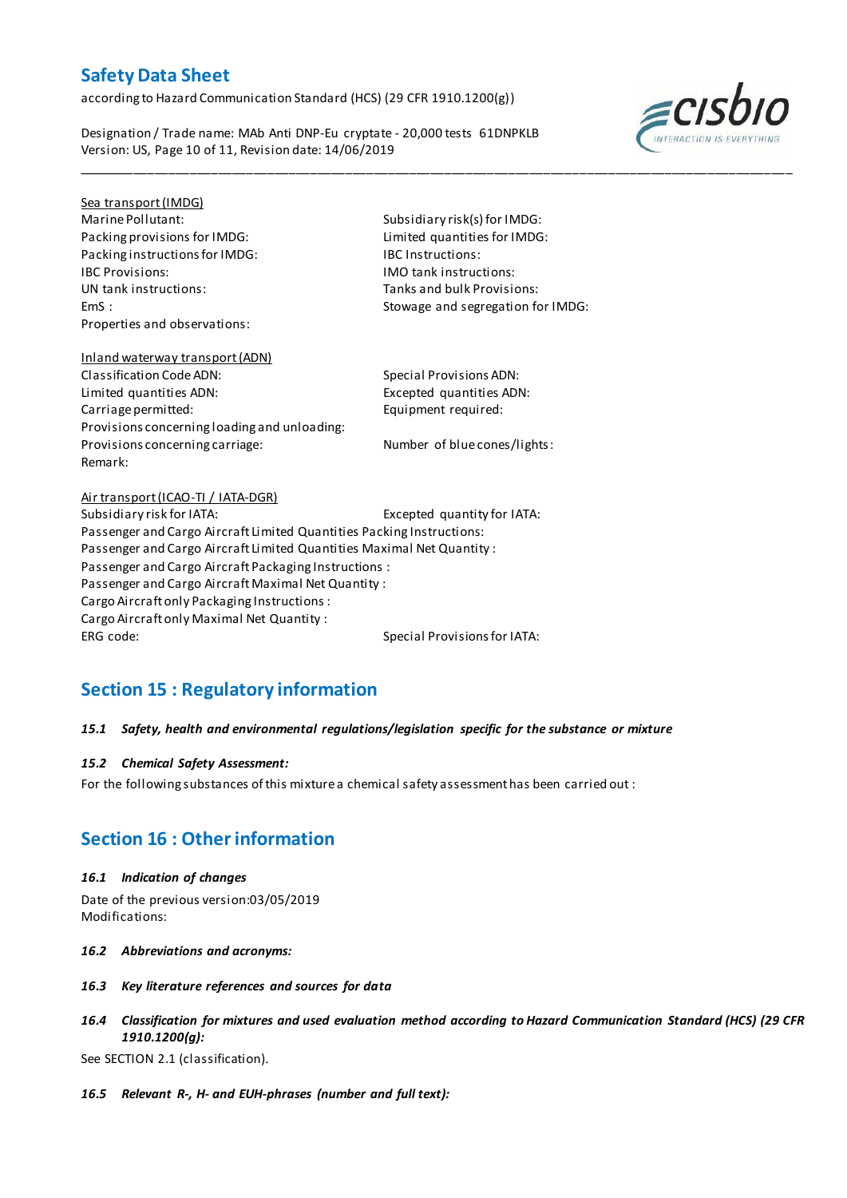according to Hazard Communication Standard (HCS) (29 CFR 1910.1200(g))

Designation / Trade name: MAb Anti DNP-Eu cryptate - 20,000 tests 61DNPKLB Version: US, Page 10 of 11, Revision date: 14/06/2019



# Sea transport (IMDG)

Packing provisions for IMDG: Limited quantities for IMDG: Packing instructions for IMDG: IBC Instructions: IBC Provisions: IMO tank instructions: Properties and observations:

Marine Pollutant: Subsidiary risk(s) for IMDG: Tanks and bulk Provisions: EmS : Stowage and segregation for IMDG:

\_\_\_\_\_\_\_\_\_\_\_\_\_\_\_\_\_\_\_\_\_\_\_\_\_\_\_\_\_\_\_\_\_\_\_\_\_\_\_\_\_\_\_\_\_\_\_\_\_\_\_\_\_\_\_\_\_\_\_\_\_\_\_\_\_\_\_\_\_\_\_\_\_\_\_\_\_\_\_\_\_\_\_\_\_\_\_\_\_\_\_\_\_\_\_\_\_\_\_\_\_

# Inland waterway transport (ADN) Classification Code ADN: Special Provisions ADN: Limited quantities ADN: Excepted quantities ADN: Carriage permitted: Equipment required: Provisions concerning loading and unloading: Provisions concerning carriage: Number of blue cones/lights: Remark:

## Air transport (ICAO-TI / IATA-DGR) Subsidiary risk for IATA: Excepted quantity for IATA: Passenger and Cargo Aircraft Limited Quantities Packing Instructions: Passenger and Cargo Aircraft Limited Quantities Maximal Net Quantity : Passenger and Cargo Aircraft Packaging Instructions : Passenger and Cargo Aircraft Maximal Net Quantity : Cargo Aircraft only Packaging Instructions : Cargo Aircraft only Maximal Net Quantity : ERG code: Special Provisions for IATA:

# **Section 15 : Regulatory information**

# *15.1 Safety, health and environmental regulations/legislation specific for the substance or mixture*

# *15.2 Chemical Safety Assessment:*

For the following substances of this mixture a chemical safety assessment has been carried out :

# **Section 16 : Other information**

## *16.1 Indication of changes*

Date of the previous version:03/05/2019 Modifications:

- *16.2 Abbreviations and acronyms:*
- *16.3 Key literature references and sources for data*
- *16.4 Classification for mixtures and used evaluation method according to Hazard Communication Standard (HCS) (29 CFR 1910.1200(g):*

See SECTION 2.1 (classification).

*16.5 Relevant R-, H- and EUH-phrases (number and full text):*